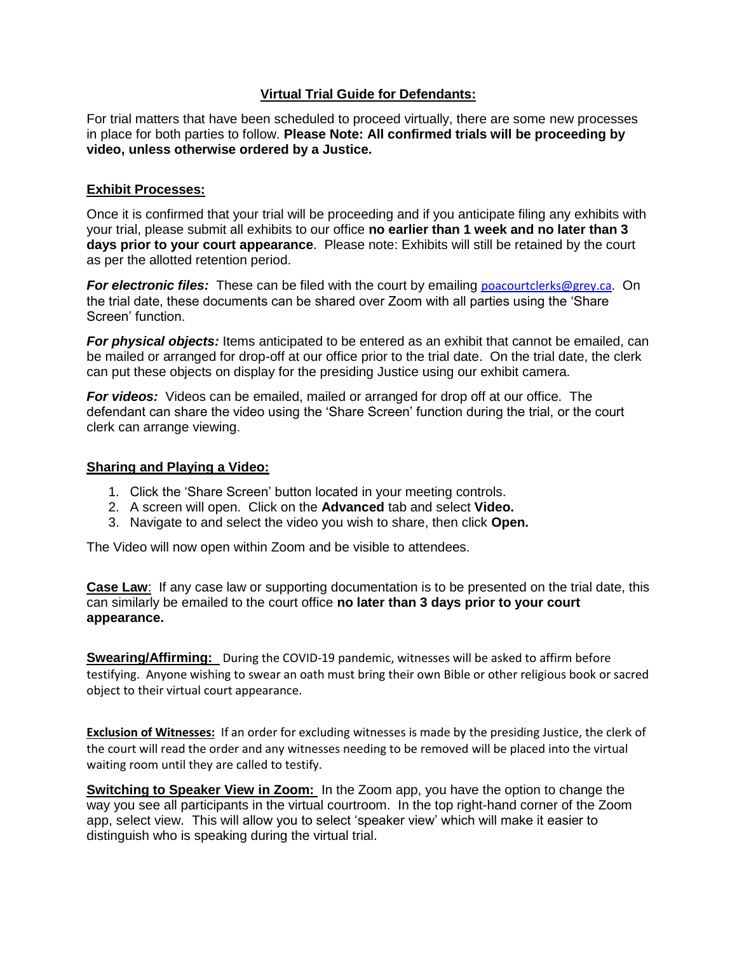## **Virtual Trial Guide for Defendants:**

For trial matters that have been scheduled to proceed virtually, there are some new processes in place for both parties to follow. **Please Note: All confirmed trials will be proceeding by video, unless otherwise ordered by a Justice.** 

## **Exhibit Processes:**

Once it is confirmed that your trial will be proceeding and if you anticipate filing any exhibits with your trial, please submit all exhibits to our office **no earlier than 1 week and no later than 3 days prior to your court appearance**. Please note: Exhibits will still be retained by the court as per the allotted retention period.

**For electronic files:** These can be filed with the court by emailing [poacourtclerks@grey.ca](mailto:poacourtclerks@grey.ca). On the trial date, these documents can be shared over Zoom with all parties using the 'Share Screen' function.

*For physical objects:* Items anticipated to be entered as an exhibit that cannot be emailed, can be mailed or arranged for drop-off at our office prior to the trial date. On the trial date, the clerk can put these objects on display for the presiding Justice using our exhibit camera.

*For videos:* Videos can be emailed, mailed or arranged for drop off at our office. The defendant can share the video using the 'Share Screen' function during the trial, or the court clerk can arrange viewing.

## **Sharing and Playing a Video:**

- 1. Click the 'Share Screen' button located in your meeting controls.
- 2. A screen will open. Click on the **Advanced** tab and select **Video.**
- 3. Navigate to and select the video you wish to share, then click **Open.**

The Video will now open within Zoom and be visible to attendees.

**Case Law**: If any case law or supporting documentation is to be presented on the trial date, this can similarly be emailed to the court office **no later than 3 days prior to your court appearance.**

**Swearing/Affirming:** During the COVID-19 pandemic, witnesses will be asked to affirm before testifying. Anyone wishing to swear an oath must bring their own Bible or other religious book or sacred object to their virtual court appearance.

**Exclusion of Witnesses:** If an order for excluding witnesses is made by the presiding Justice, the clerk of the court will read the order and any witnesses needing to be removed will be placed into the virtual waiting room until they are called to testify.

**Switching to Speaker View in Zoom:** In the Zoom app, you have the option to change the way you see all participants in the virtual courtroom. In the top right-hand corner of the Zoom app, select view. This will allow you to select 'speaker view' which will make it easier to distinguish who is speaking during the virtual trial.